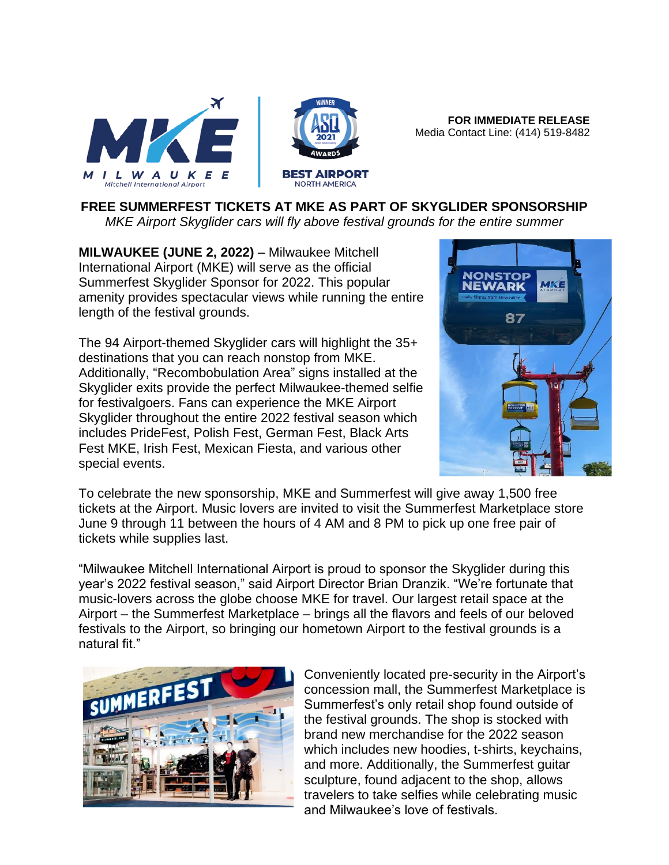

**FOR IMMEDIATE RELEASE** Media Contact Line: (414) 519-8482

## **FREE SUMMERFEST TICKETS AT MKE AS PART OF SKYGLIDER SPONSORSHIP**

*MKE Airport Skyglider cars will fly above festival grounds for the entire summer*

**MILWAUKEE (JUNE 2, 2022)** – Milwaukee Mitchell International Airport (MKE) will serve as the official Summerfest Skyglider Sponsor for 2022. This popular amenity provides spectacular views while running the entire length of the festival grounds.

The 94 Airport-themed Skyglider cars will highlight the 35+ destinations that you can reach nonstop from MKE. Additionally, "Recombobulation Area" signs installed at the Skyglider exits provide the perfect Milwaukee-themed selfie for festivalgoers. Fans can experience the MKE Airport Skyglider throughout the entire 2022 festival season which includes PrideFest, Polish Fest, German Fest, Black Arts Fest MKE, Irish Fest, Mexican Fiesta, and various other special events.



To celebrate the new sponsorship, MKE and Summerfest will give away 1,500 free tickets at the Airport. Music lovers are invited to visit the Summerfest Marketplace store June 9 through 11 between the hours of 4 AM and 8 PM to pick up one free pair of tickets while supplies last.

"Milwaukee Mitchell International Airport is proud to sponsor the Skyglider during this year's 2022 festival season," said Airport Director Brian Dranzik. "We're fortunate that music-lovers across the globe choose MKE for travel. Our largest retail space at the Airport – the Summerfest Marketplace – brings all the flavors and feels of our beloved festivals to the Airport, so bringing our hometown Airport to the festival grounds is a natural fit."



Conveniently located pre-security in the Airport's concession mall, the Summerfest Marketplace is Summerfest's only retail shop found outside of the festival grounds. The shop is stocked with brand new merchandise for the 2022 season which includes new hoodies, t-shirts, keychains, and more. Additionally, the Summerfest guitar sculpture, found adjacent to the shop, allows travelers to take selfies while celebrating music and Milwaukee's love of festivals.